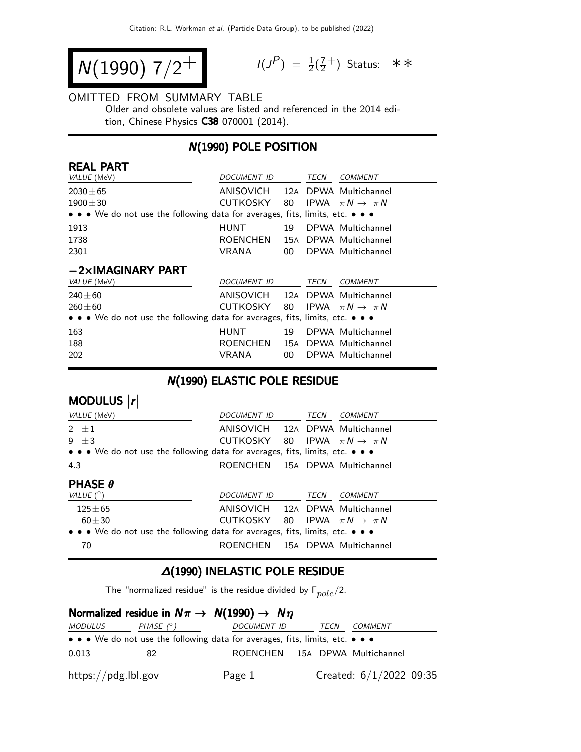$$
N(1990) 7/2^+
$$

$$
I(J^{P}) = \frac{1}{2}(\frac{7}{2}^{+})
$$
 Status:  $\ast \ast$ 

#### OMITTED FROM SUMMARY TABLE

Older and obsolete values are listed and referenced in the 2014 edition, Chinese Physics C38 070001 (2014).

## N(1990) POLE POSITION

| <b>REAL PART</b>                                                              |                 |     |             |                                |  |  |
|-------------------------------------------------------------------------------|-----------------|-----|-------------|--------------------------------|--|--|
| VALUE (MeV)                                                                   | DOCUMENT ID     |     | TECN        | <b>COMMENT</b>                 |  |  |
| $2030 \pm 65$                                                                 | ANISOVICH       | 12A |             | DPWA Multichannel              |  |  |
| $1900 + 30$                                                                   | CUTKOSKY        | 80  |             | IPWA $\pi N \rightarrow \pi N$ |  |  |
| • • • We do not use the following data for averages, fits, limits, etc. • • • |                 |     |             |                                |  |  |
| 1913                                                                          | HUNT            | 19  |             | DPWA Multichannel              |  |  |
| 1738                                                                          | ROENCHEN        |     |             | 15A DPWA Multichannel          |  |  |
| 2301                                                                          | VRANA           | 00  |             | DPWA Multichannel              |  |  |
| $-2\times$ IMAGINARY PART                                                     |                 |     |             |                                |  |  |
| VALUE (MeV)                                                                   | DOCUMENT ID     |     | TECN        | <b>COMMENT</b>                 |  |  |
| $240 \pm 60$                                                                  | ANISOVICH       |     |             | 12A DPWA Multichannel          |  |  |
| $260 + 60$                                                                    | CUTKOSKY        | 80  | <b>IPWA</b> | $\pi N \rightarrow \pi N$      |  |  |
| • • • We do not use the following data for averages, fits, limits, etc. • • • |                 |     |             |                                |  |  |
| 163                                                                           | <b>HUNT</b>     | 19  |             | DPWA Multichannel              |  |  |
| 188                                                                           | <b>ROENCHEN</b> | 15A |             | DPWA Multichannel              |  |  |
|                                                                               |                 |     |             |                                |  |  |

### N(1990) ELASTIC POLE RESIDUE

| MODULUS  r                                                                                                            |                                 |  |      |                                   |  |  |
|-----------------------------------------------------------------------------------------------------------------------|---------------------------------|--|------|-----------------------------------|--|--|
| VALUE (MeV)                                                                                                           | DOCUMENT ID                     |  | TECN | COMMENT                           |  |  |
| $2 + 1$                                                                                                               | ANISOVICH 12A DPWA Multichannel |  |      |                                   |  |  |
| $9 + 3$                                                                                                               | CUTKOSKY                        |  |      | 80 IPWA $\pi N \rightarrow \pi N$ |  |  |
| $\bullet \bullet \bullet$ We do not use the following data for averages, fits, limits, etc. $\bullet \bullet \bullet$ |                                 |  |      |                                   |  |  |
| 4.3                                                                                                                   | ROENCHEN 15A DPWA Multichannel  |  |      |                                   |  |  |
|                                                                                                                       |                                 |  |      |                                   |  |  |
| <b>PHASE <math>\theta</math></b>                                                                                      |                                 |  |      |                                   |  |  |
| VALUE $(^\circ)$                                                                                                      | <i>DOCUMENT ID</i>              |  | TECN | <b>COMMENT</b>                    |  |  |
| $125 + 65$                                                                                                            | ANISOVICH 12A DPWA Multichannel |  |      |                                   |  |  |
| $-60 \pm 30$                                                                                                          | CUTKOSKY                        |  |      | 80 IPWA $\pi N \rightarrow \pi N$ |  |  |
| $\bullet \bullet \bullet$ We do not use the following data for averages, fits, limits, etc. $\bullet \bullet \bullet$ |                                 |  |      |                                   |  |  |

## ∆(1990) INELASTIC POLE RESIDUE

The "normalized residue" is the residue divided by  $\Gamma_{pole}/2$ .

## Normalized residue in  $N\pi \rightarrow N(1990) \rightarrow N\eta$

| <i>MODULUS</i>                 | PHASE $(^\circ)$                                                                                                      | DOCUMENT ID                    | TECN | <i>COMMENT</i>            |  |
|--------------------------------|-----------------------------------------------------------------------------------------------------------------------|--------------------------------|------|---------------------------|--|
|                                | $\bullet \bullet \bullet$ We do not use the following data for averages, fits, limits, etc. $\bullet \bullet \bullet$ |                                |      |                           |  |
| 0.013                          | $-82$                                                                                                                 | ROENCHEN 15A DPWA Multichannel |      |                           |  |
| $\frac{https://pdg.1b1.gov}{%$ |                                                                                                                       | Page 1                         |      | Created: $6/1/2022$ 09:35 |  |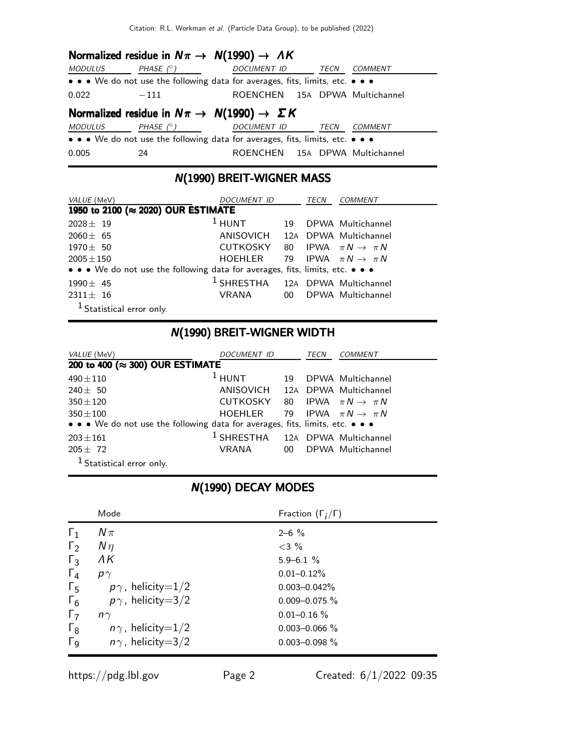## Normalized residue in  $N\pi \rightarrow N(1990) \rightarrow AK$

| <i>MODULUS</i>                                                        | PHASE $(^\circ)$ | DOCUMENT ID TECN                                                              |      | COMMENT |  |
|-----------------------------------------------------------------------|------------------|-------------------------------------------------------------------------------|------|---------|--|
|                                                                       |                  | • • • We do not use the following data for averages, fits, limits, etc. • • • |      |         |  |
| 0.022                                                                 | $-111$           | ROENCHEN 15A DPWA Multichannel                                                |      |         |  |
| Normalized residue in $N\pi \rightarrow N(1990) \rightarrow \Sigma K$ |                  |                                                                               |      |         |  |
| <i>MODULUS</i>                                                        | PHASE (° )       | <i>DOCUMENT ID</i>                                                            | TECN | COMMENT |  |
|                                                                       |                  | • • • We do not use the following data for averages, fits, limits, etc. • • • |      |         |  |
| 0.005                                                                 | 24               | ROENCHEN 15A DPWA Multichannel                                                |      |         |  |

## N(1990) BREIT-WIGNER MASS

| VALUE (MeV)                                                                   | <i>DOCUMENT ID</i>                          | TECN | <i>COMMENT</i>       |
|-------------------------------------------------------------------------------|---------------------------------------------|------|----------------------|
| 1950 to 2100 (≈ 2020) OUR ESTIMATE                                            |                                             |      |                      |
| $2028 \pm 19$                                                                 | $1$ HUNT                                    |      | 19 DPWA Multichannel |
| $2060 \pm 65$                                                                 | ANISOVICH 12A DPWA Multichannel             |      |                      |
| $1970 \pm 50$                                                                 | CUTKOSKY 80 IPWA $\pi N \rightarrow \pi N$  |      |                      |
| $2005 \pm 150$                                                                | HOEHLER 79 IPWA $\pi N \rightarrow \pi N$   |      |                      |
| • • • We do not use the following data for averages, fits, limits, etc. • • • |                                             |      |                      |
| $1990 \pm 45$                                                                 | <sup>1</sup> SHRESTHA 12A DPWA Multichannel |      |                      |
| $2311 \pm 16$                                                                 | VRANA 00 DPWA Multichannel                  |      |                      |
| <sup>1</sup> Statistical error only.                                          |                                             |      |                      |

## N(1990) BREIT-WIGNER WIDTH

| VALUE (MeV)                                                                   | <i>DOCUMENT ID</i>                          |    | TECN | <b>COMMENT</b>                    |
|-------------------------------------------------------------------------------|---------------------------------------------|----|------|-----------------------------------|
| 200 to 400 (≈ 300) OUR ESTIMATE                                               |                                             |    |      |                                   |
| $490 \pm 110$                                                                 | $1$ HUNT                                    | 19 |      | DPWA Multichannel                 |
| $240 \pm 50$                                                                  | ANISOVICH 12A DPWA Multichannel             |    |      |                                   |
| $350 \pm 120$                                                                 | CUTKOSKY 80 IPWA $\pi N \rightarrow \pi N$  |    |      |                                   |
| $350 \pm 100$                                                                 | HOEHLER                                     |    |      | 79 IPWA $\pi N \rightarrow \pi N$ |
| • • • We do not use the following data for averages, fits, limits, etc. • • • |                                             |    |      |                                   |
| $203 \pm 161$                                                                 | <sup>1</sup> SHRESTHA 12A DPWA Multichannel |    |      |                                   |
| $205 + 72$                                                                    | VRANA                                       |    |      | 00 DPWA Multichannel              |
| <sup>1</sup> Statistical error only.                                          |                                             |    |      |                                   |

# N(1990) DECAY MODES

|              | Mode                     | Fraction $(\Gamma_i/\Gamma)$ |
|--------------|--------------------------|------------------------------|
| $\Gamma_1$   | $N\pi$                   | $2 - 6 \%$                   |
| $\Gamma_2$   | $N\eta$                  | $<$ 3 %                      |
| $\Gamma_3$   | ΛK                       | $5.9 - 6.1 \%$               |
| $\Gamma_4$   | $p\gamma$                | $0.01 - 0.12\%$              |
| $\Gamma_5$   | $p\gamma$ , helicity=1/2 | $0.003 - 0.042\%$            |
| $\Gamma_6$   | $p\gamma$ , helicity=3/2 | $0.009 - 0.075 \%$           |
| $\Gamma_7$   | $n\gamma$                | $0.01 - 0.16 \%$             |
| $\Gamma_8$   | $n\gamma$ , helicity=1/2 | $0.003 - 0.066$ %            |
| $\Gamma_{9}$ | $n\gamma$ , helicity=3/2 | $0.003 - 0.098 \%$           |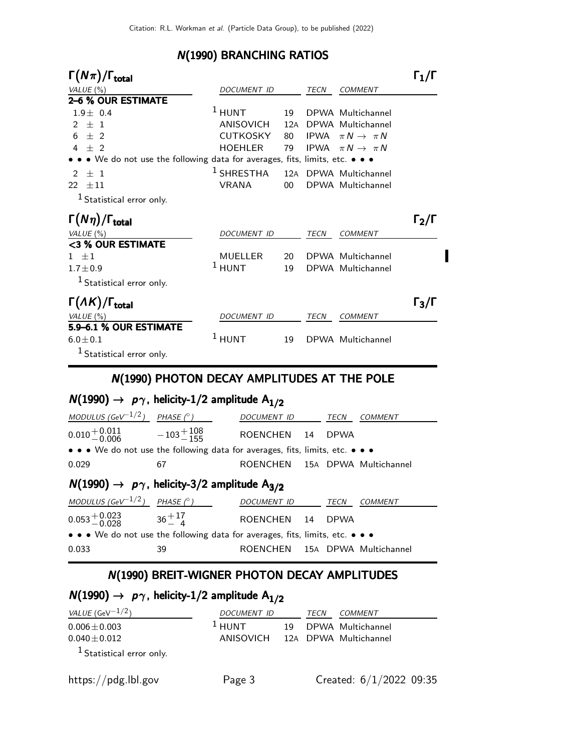#### N(1990) BRANCHING RATIOS

| $\Gamma(N\pi)/\Gamma_{\rm total}$                                           |                    |        |             |                           | $\mathsf{\Gamma}_1/\mathsf{\Gamma}$ |
|-----------------------------------------------------------------------------|--------------------|--------|-------------|---------------------------|-------------------------------------|
| VALUE $(\%)$                                                                | DOCUMENT ID        |        | TECN        | <b>COMMENT</b>            |                                     |
| 2–6 % OUR ESTIMATE                                                          |                    |        |             |                           |                                     |
| $1.9 + 0.4$                                                                 | $1$ HUNT           | 19     |             | DPWA Multichannel         |                                     |
| $+1$<br>$\mathcal{P}$                                                       | ANISOVICH          | 12A    |             | DPWA Multichannel         |                                     |
| $+2$<br>6                                                                   | <b>CUTKOSKY</b>    | 80     | IPWA        | $\pi N \rightarrow \pi N$ |                                     |
| $4 + 2$                                                                     | <b>HOEHLER</b>     | 79     | <b>IPWA</b> | $\pi N \rightarrow \pi N$ |                                     |
| • • We do not use the following data for averages, fits, limits, etc. • • • |                    |        |             |                           |                                     |
| $\pm$ 1<br>$\mathcal{P}$                                                    | $1$ SHRESTHA       | 12A    |             | DPWA Multichannel         |                                     |
| 22<br>$\pm11$                                                               | <b>VRANA</b>       | $00\,$ |             | DPWA Multichannel         |                                     |
| <sup>1</sup> Statistical error only.                                        |                    |        |             |                           |                                     |
| $\Gamma(N\eta)/\Gamma_{\rm total}$                                          |                    |        |             |                           | $\Gamma_2/\Gamma$                   |
| VALUE $(\%)$                                                                | <b>DOCUMENT ID</b> |        | TECN        | <b>COMMENT</b>            |                                     |
| <3 % OUR ESTIMATE                                                           |                    |        |             |                           |                                     |
| $1 \pm 1$                                                                   | <b>MUELLER</b>     | 20     |             | DPWA Multichannel         |                                     |
| $1.7 + 0.9$                                                                 | $1$ HUNT           | 19     |             | DPWA Multichannel         |                                     |
| <sup>1</sup> Statistical error only.                                        |                    |        |             |                           |                                     |
| $\Gamma(\Lambda K)/\Gamma_{\rm total}$                                      |                    |        |             |                           | $\frac{1}{3}$                       |
| VALUE $(\%)$                                                                | <b>DOCUMENT ID</b> |        | <b>TECN</b> | <b>COMMENT</b>            |                                     |
| 5.9-6.1 % OUR ESTIMATE                                                      |                    |        |             |                           |                                     |
| $6.0 \pm 0.1$                                                               | $1$ HUNT           | 19     |             | DPWA Multichannel         |                                     |
| <sup>1</sup> Statistical error only.                                        |                    |        |             |                           |                                     |

## N(1990) PHOTON DECAY AMPLITUDES AT THE POLE

# $N(1990) \rightarrow p\gamma$ , helicity-1/2 amplitude  $A_{1/2}$

| $M(1000)$ and belief $2/2$ applitude A                                        |                        |                                |      |         |
|-------------------------------------------------------------------------------|------------------------|--------------------------------|------|---------|
| 0.029                                                                         | 67                     | ROENCHEN 15A DPWA Multichannel |      |         |
| • • • We do not use the following data for averages, fits, limits, etc. • • • |                        |                                |      |         |
| $0.010^{+0.011}_{-0.006}$                                                     | $-103 + 108$<br>$-155$ | ROENCHEN 14 DPWA               |      |         |
| MODULUS (GeV $^{-1/2}$ ) PHASE ( $^{\circ}$ )                                 |                        | DOCUMENT ID                    | TECN | COMMENT |
|                                                                               |                        |                                |      |         |

# $N(1990) \rightarrow p\gamma$ , helicity-3/2 amplitude A<sub>3/2</sub>

| MODULUS (GeV <sup>-1/2</sup> ) PHASE (°)                                      |                 | DOCUMENT ID                    | TECN | COMMENT |
|-------------------------------------------------------------------------------|-----------------|--------------------------------|------|---------|
| $0.053 + 0.023$                                                               | $36^{+17}_{-4}$ | ROENCHEN 14 DPWA               |      |         |
| • • • We do not use the following data for averages, fits, limits, etc. • • • |                 |                                |      |         |
| 0.033                                                                         | 39              | ROENCHEN 15A DPWA Multichannel |      |         |

#### N(1990) BREIT-WIGNER PHOTON DECAY AMPLITUDES

### $N(1990) \rightarrow p\gamma$ , helicity-1/2 amplitude  $A_{1/2}$ VALUE  $(\text{GeV}^{-1/2})$  DOCUMENT ID TECN COMMENT  $0.006 \pm 0.003$  1 HUNT 19 DPWA Multichannel 0.040±0.012 ANISOVICH 12<sup>A</sup> DPWA Multichannel

1 Statistical error only.

I